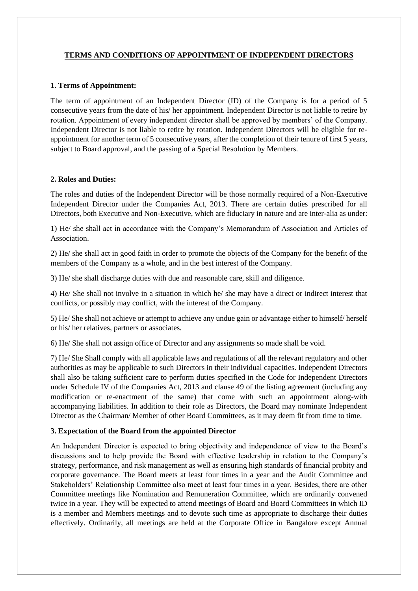# **TERMS AND CONDITIONS OF APPOINTMENT OF INDEPENDENT DIRECTORS**

#### **1. Terms of Appointment:**

The term of appointment of an Independent Director (ID) of the Company is for a period of 5 consecutive years from the date of his/ her appointment. Independent Director is not liable to retire by rotation. Appointment of every independent director shall be approved by members' of the Company. Independent Director is not liable to retire by rotation. Independent Directors will be eligible for reappointment for another term of 5 consecutive years, after the completion of their tenure of first 5 years, subject to Board approval, and the passing of a Special Resolution by Members.

## **2. Roles and Duties:**

The roles and duties of the Independent Director will be those normally required of a Non-Executive Independent Director under the Companies Act, 2013. There are certain duties prescribed for all Directors, both Executive and Non-Executive, which are fiduciary in nature and are inter-alia as under:

1) He/ she shall act in accordance with the Company's Memorandum of Association and Articles of Association.

2) He/ she shall act in good faith in order to promote the objects of the Company for the benefit of the members of the Company as a whole, and in the best interest of the Company.

3) He/ she shall discharge duties with due and reasonable care, skill and diligence.

4) He/ She shall not involve in a situation in which he/ she may have a direct or indirect interest that conflicts, or possibly may conflict, with the interest of the Company.

5) He/ She shall not achieve or attempt to achieve any undue gain or advantage either to himself/ herself or his/ her relatives, partners or associates.

6) He/ She shall not assign office of Director and any assignments so made shall be void.

7) He/ She Shall comply with all applicable laws and regulations of all the relevant regulatory and other authorities as may be applicable to such Directors in their individual capacities. Independent Directors shall also be taking sufficient care to perform duties specified in the Code for Independent Directors under Schedule IV of the Companies Act, 2013 and clause 49 of the listing agreement (including any modification or re-enactment of the same) that come with such an appointment along-with accompanying liabilities. In addition to their role as Directors, the Board may nominate Independent Director as the Chairman/ Member of other Board Committees, as it may deem fit from time to time.

## **3. Expectation of the Board from the appointed Director**

An Independent Director is expected to bring objectivity and independence of view to the Board's discussions and to help provide the Board with effective leadership in relation to the Company's strategy, performance, and risk management as well as ensuring high standards of financial probity and corporate governance. The Board meets at least four times in a year and the Audit Committee and Stakeholders' Relationship Committee also meet at least four times in a year. Besides, there are other Committee meetings like Nomination and Remuneration Committee, which are ordinarily convened twice in a year. They will be expected to attend meetings of Board and Board Committees in which ID is a member and Members meetings and to devote such time as appropriate to discharge their duties effectively. Ordinarily, all meetings are held at the Corporate Office in Bangalore except Annual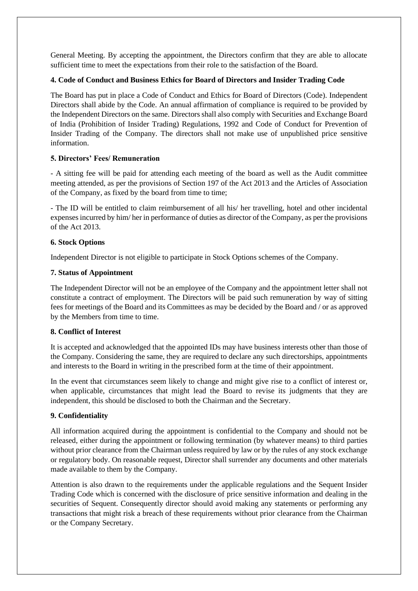General Meeting. By accepting the appointment, the Directors confirm that they are able to allocate sufficient time to meet the expectations from their role to the satisfaction of the Board.

## **4. Code of Conduct and Business Ethics for Board of Directors and Insider Trading Code**

The Board has put in place a Code of Conduct and Ethics for Board of Directors (Code). Independent Directors shall abide by the Code. An annual affirmation of compliance is required to be provided by the Independent Directors on the same. Directors shall also comply with Securities and Exchange Board of India (Prohibition of Insider Trading) Regulations, 1992 and Code of Conduct for Prevention of Insider Trading of the Company. The directors shall not make use of unpublished price sensitive information.

## **5. Directors' Fees/ Remuneration**

- A sitting fee will be paid for attending each meeting of the board as well as the Audit committee meeting attended, as per the provisions of Section 197 of the Act 2013 and the Articles of Association of the Company, as fixed by the board from time to time;

- The ID will be entitled to claim reimbursement of all his/ her travelling, hotel and other incidental expenses incurred by him/ her in performance of duties as director of the Company, as per the provisions of the Act 2013.

## **6. Stock Options**

Independent Director is not eligible to participate in Stock Options schemes of the Company.

## **7. Status of Appointment**

The Independent Director will not be an employee of the Company and the appointment letter shall not constitute a contract of employment. The Directors will be paid such remuneration by way of sitting fees for meetings of the Board and its Committees as may be decided by the Board and / or as approved by the Members from time to time.

## **8. Conflict of Interest**

It is accepted and acknowledged that the appointed IDs may have business interests other than those of the Company. Considering the same, they are required to declare any such directorships, appointments and interests to the Board in writing in the prescribed form at the time of their appointment.

In the event that circumstances seem likely to change and might give rise to a conflict of interest or, when applicable, circumstances that might lead the Board to revise its judgments that they are independent, this should be disclosed to both the Chairman and the Secretary.

## **9. Confidentiality**

All information acquired during the appointment is confidential to the Company and should not be released, either during the appointment or following termination (by whatever means) to third parties without prior clearance from the Chairman unless required by law or by the rules of any stock exchange or regulatory body. On reasonable request, Director shall surrender any documents and other materials made available to them by the Company.

Attention is also drawn to the requirements under the applicable regulations and the Sequent Insider Trading Code which is concerned with the disclosure of price sensitive information and dealing in the securities of Sequent. Consequently director should avoid making any statements or performing any transactions that might risk a breach of these requirements without prior clearance from the Chairman or the Company Secretary.